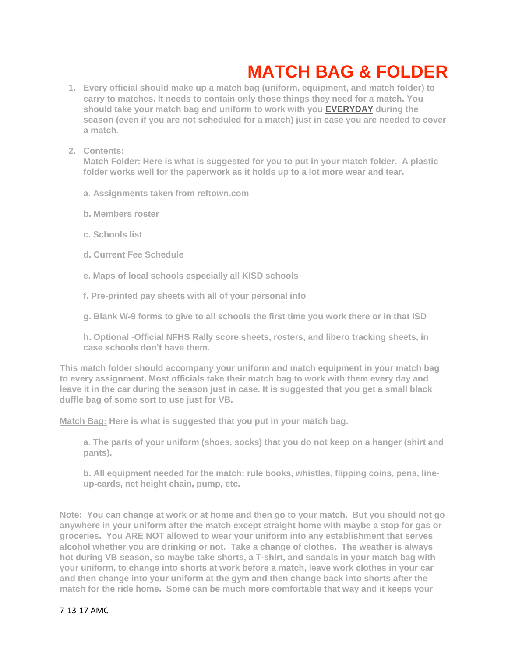## **MATCH BAG & FOLDER**

- **1. Every official should make up a match bag (uniform, equipment, and match folder) to carry to matches. It needs to contain only those things they need for a match. You should take your match bag and uniform to work with you EVERYDAY during the season (even if you are not scheduled for a match) just in case you are needed to cover a match.**
- **2. Contents:**

**Match Folder: Here is what is suggested for you to put in your match folder. A plastic folder works well for the paperwork as it holds up to a lot more wear and tear.**

- **a. Assignments taken from reftown.com**
- **b. Members roster**
- **c. Schools list**
- **d. Current Fee Schedule**
- **e. Maps of local schools especially all KISD schools**
- **f. Pre-printed pay sheets with all of your personal info**
- **g. Blank W-9 forms to give to all schools the first time you work there or in that ISD**

**h. Optional -Official NFHS Rally score sheets, rosters, and libero tracking sheets, in case schools don't have them.** 

**This match folder should accompany your uniform and match equipment in your match bag to every assignment. Most officials take their match bag to work with them every day and leave it in the car during the season just in case. It is suggested that you get a small black duffle bag of some sort to use just for VB.** 

**Match Bag: Here is what is suggested that you put in your match bag.** 

**a. The parts of your uniform (shoes, socks) that you do not keep on a hanger (shirt and pants).**

**b. All equipment needed for the match: rule books, whistles, flipping coins, pens, lineup-cards, net height chain, pump, etc.**

**Note: You can change at work or at home and then go to your match. But you should not go anywhere in your uniform after the match except straight home with maybe a stop for gas or groceries. You ARE NOT allowed to wear your uniform into any establishment that serves alcohol whether you are drinking or not. Take a change of clothes. The weather is always hot during VB season, so maybe take shorts, a T-shirt, and sandals in your match bag with your uniform, to change into shorts at work before a match, leave work clothes in your car and then change into your uniform at the gym and then change back into shorts after the match for the ride home. Some can be much more comfortable that way and it keeps your** 

## 7-13-17 AMC